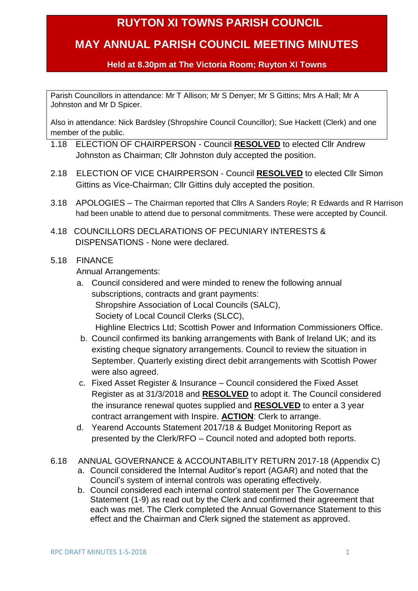## **RUYTON XI TOWNS PARISH COUNCIL**

## **MAY ANNUAL PARISH COUNCIL MEETING MINUTES**

## **Held at 8.30pm at The Victoria Room; Ruyton XI Towns**

Parish Councillors in attendance: Mr T Allison; Mr S Denyer; Mr S Gittins; Mrs A Hall; Mr A Johnston and Mr D Spicer.

Also in attendance: Nick Bardsley (Shropshire Council Councillor); Sue Hackett (Clerk) and one member of the public.

- 1.18 ELECTION OF CHAIRPERSON Council **RESOLVED** to elected Cllr Andrew Johnston as Chairman; Cllr Johnston duly accepted the position.
- 2.18 ELECTION OF VICE CHAIRPERSON Council **RESOLVED** to elected Cllr Simon Gittins as Vice-Chairman; Cllr Gittins duly accepted the position.
- 3.18 APOLOGIES The Chairman reported that Cllrs A Sanders Royle; R Edwards and R Harrison had been unable to attend due to personal commitments. These were accepted by Council.
- 4.18 COUNCILLORS DECLARATIONS OF PECUNIARY INTERESTS & DISPENSATIONS - None were declared.
- 5.18 FINANCE

Annual Arrangements:

- a. Council considered and were minded to renew the following annual subscriptions, contracts and grant payments: Shropshire Association of Local Councils (SALC), Society of Local Council Clerks (SLCC), Highline Electrics Ltd; Scottish Power and Information Commissioners Office.
- b. Council confirmed its banking arrangements with Bank of Ireland UK; and its existing cheque signatory arrangements. Council to review the situation in September. Quarterly existing direct debit arrangements with Scottish Power were also agreed.
- c. Fixed Asset Register & Insurance Council considered the Fixed Asset Register as at 31/3/2018 and **RESOLVED** to adopt it. The Council considered the insurance renewal quotes supplied and **RESOLVED** to enter a 3 year contract arrangement with Inspire. **ACTION**: Clerk to arrange.
- d. Yearend Accounts Statement 2017/18 & Budget Monitoring Report as presented by the Clerk/RFO – Council noted and adopted both reports.
- 6.18 ANNUAL GOVERNANCE & ACCOUNTABILITY RETURN 2017-18 (Appendix C)
	- a. Council considered the Internal Auditor's report (AGAR) and noted that the Council's system of internal controls was operating effectively.
	- b. Council considered each internal control statement per The Governance Statement (1-9) as read out by the Clerk and confirmed their agreement that each was met. The Clerk completed the Annual Governance Statement to this effect and the Chairman and Clerk signed the statement as approved.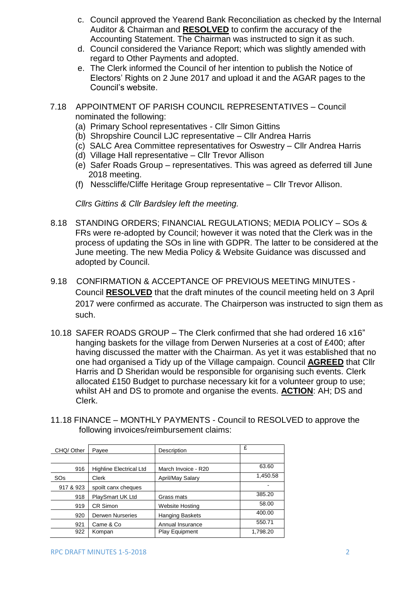- c. Council approved the Yearend Bank Reconciliation as checked by the Internal Auditor & Chairman and **RESOLVED** to confirm the accuracy of the Accounting Statement. The Chairman was instructed to sign it as such.
- d. Council considered the Variance Report; which was slightly amended with regard to Other Payments and adopted.
- e. The Clerk informed the Council of her intention to publish the Notice of Electors' Rights on 2 June 2017 and upload it and the AGAR pages to the Council's website.
- 7.18 APPOINTMENT OF PARISH COUNCIL REPRESENTATIVES Council nominated the following:
	- (a) Primary School representatives Cllr Simon Gittins
	- (b) Shropshire Council LJC representative Cllr Andrea Harris
	- (c) SALC Area Committee representatives for Oswestry Cllr Andrea Harris
	- (d) Village Hall representative Cllr Trevor Allison
	- (e) Safer Roads Group representatives. This was agreed as deferred till June 2018 meeting.
	- (f) Nesscliffe/Cliffe Heritage Group representative Cllr Trevor Allison.

*Cllrs Gittins & Cllr Bardsley left the meeting.*

- 8.18 STANDING ORDERS; FINANCIAL REGULATIONS; MEDIA POLICY SOs & FRs were re-adopted by Council; however it was noted that the Clerk was in the process of updating the SOs in line with GDPR. The latter to be considered at the June meeting. The new Media Policy & Website Guidance was discussed and adopted by Council.
- 9.18 CONFIRMATION & ACCEPTANCE OF PREVIOUS MEETING MINUTES Council **RESOLVED** that the draft minutes of the council meeting held on 3 April 2017 were confirmed as accurate. The Chairperson was instructed to sign them as such.
- 10.18 SAFER ROADS GROUP The Clerk confirmed that she had ordered 16 x16" hanging baskets for the village from Derwen Nurseries at a cost of £400; after having discussed the matter with the Chairman. As yet it was established that no one had organised a Tidy up of the Village campaign. Council **AGREED** that Cllr Harris and D Sheridan would be responsible for organising such events. Clerk allocated £150 Budget to purchase necessary kit for a volunteer group to use; whilst AH and DS to promote and organise the events. **ACTION**: AH; DS and Clerk.
- 11.18 FINANCE MONTHLY PAYMENTS Council to RESOLVED to approve the following invoices/reimbursement claims:

| CHQ/Other             | Payee                          | Description            | £        |
|-----------------------|--------------------------------|------------------------|----------|
|                       |                                |                        |          |
| 916                   | <b>Highline Electrical Ltd</b> | March Invoice - R20    | 63.60    |
| <b>SO<sub>s</sub></b> | Clerk                          | April/May Salary       | 1,450.58 |
| 917 & 923             | spoilt canx cheques            |                        |          |
| 918                   | PlaySmart UK Ltd               | Grass mats             | 385.20   |
| 919                   | CR Simon                       | Website Hosting        | 58.00    |
| 920                   | <b>Derwen Nurseries</b>        | <b>Hanging Baskets</b> | 400.00   |
| 921                   | Came & Co                      | Annual Insurance       | 550.71   |
| 922                   | Kompan                         | Play Equipment         | 1,798.20 |